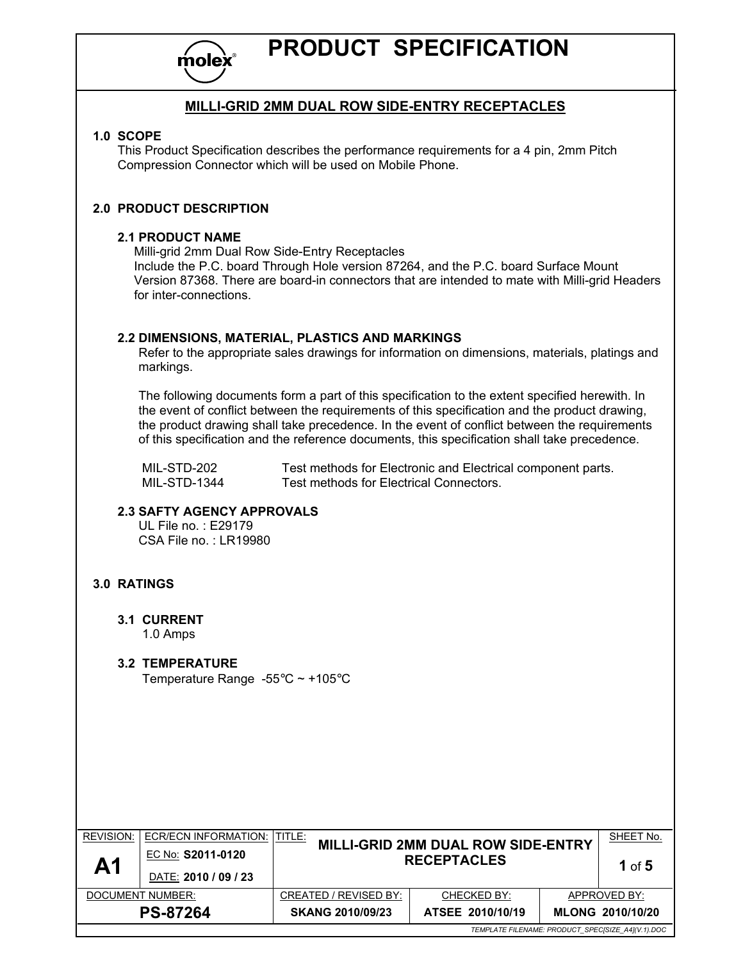

## PRODUCT SPECIFICATION

### MILLI-GRID 2MM DUAL ROW SIDE-ENTRY RECEPTACLES

### 1.0 SCOPE

This Product Specification describes the performance requirements for a 4 pin, 2mm Pitch Compression Connector which will be used on Mobile Phone.

### 2.0 PRODUCT DESCRIPTION

### 2.1 PRODUCT NAME

Milli-grid 2mm Dual Row Side-Entry Receptacles

Include the P.C. board Through Hole version 87264, and the P.C. board Surface Mount Version 87368. There are board-in connectors that are intended to mate with Milli-grid Headers for inter-connections.

### 2.2 DIMENSIONS, MATERIAL, PLASTICS AND MARKINGS

 Refer to the appropriate sales drawings for information on dimensions, materials, platings and markings.

 The following documents form a part of this specification to the extent specified herewith. In the event of conflict between the requirements of this specification and the product drawing, the product drawing shall take precedence. In the event of conflict between the requirements of this specification and the reference documents, this specification shall take precedence.

MIL-STD-202 Test methods for Electronic and Electrical component parts.<br>MIL-STD-1344 Test methods for Electrical Connectors. Test methods for Electrical Connectors.

### 2.3 SAFTY AGENCY APPROVALS

 UL File no. : E29179 CSA File no. : LR19980

### 3.0 RATINGS

3.1 CURRENT 1.0 Amps

### 3.2 TEMPERATURE Temperature Range -55°C ~ +105°C

REVISION: ECR/ECN INFORMATION: TITLE: MILLI-GRID 2MM DUAL ROW SIDE-ENTRY **RECEPTACLES** SHEET No.  $\mathsf{A1}$   $\left| \frac{\mathsf{EC\, No.}}{\mathsf{C\,2011\text{-}0120}} \right|$ 1 of 5 DATE: 2010 / 09 / 23 DOCUMENT NUMBER: CREATED / REVISED BY: CHECKED BY: APPROVED BY: PS-87264 SKANG 2010/09/23 ATSEE 2010/10/19 MLONG 2010/10/20 TEMPLATE FILENAME: PRODUCT\_SPEC[SIZE\_A4](V.1).DOC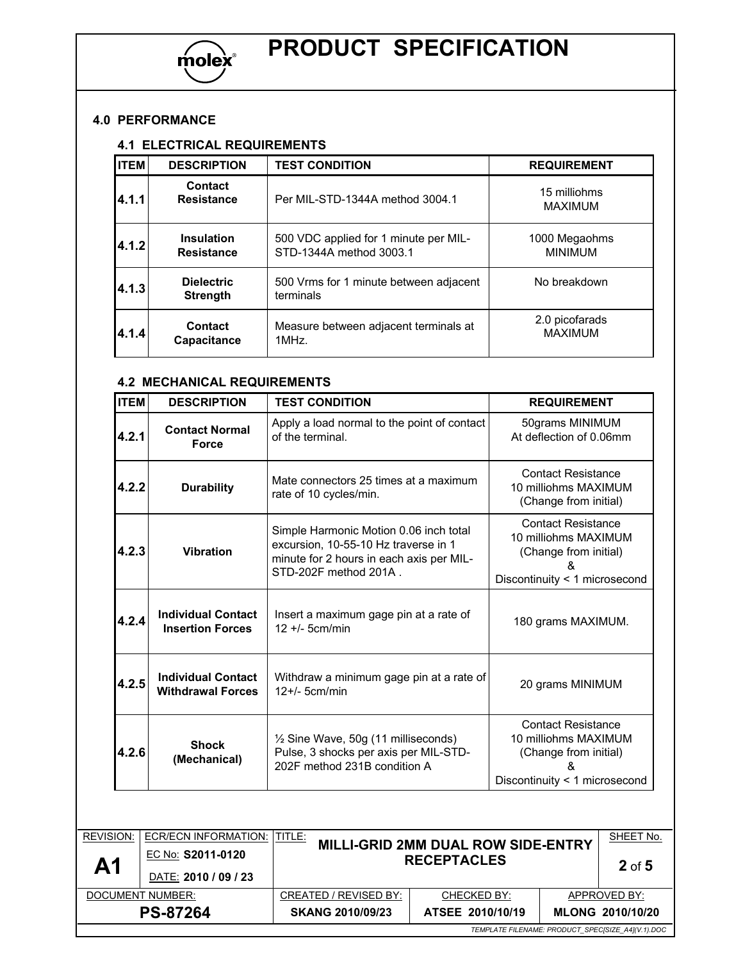

# PRODUCT SPECIFICATION

### 4.0 PERFORMANCE

### 4.1 ELECTRICAL REQUIREMENTS

| <b>ITEM</b> | <b>DESCRIPTION</b>                     | <b>TEST CONDITION</b>                                            | <b>REQUIREMENT</b>               |
|-------------|----------------------------------------|------------------------------------------------------------------|----------------------------------|
| 4.1.1       | <b>Contact</b><br><b>Resistance</b>    | Per MIL-STD-1344A method 3004.1                                  | 15 milliohms<br><b>MAXIMUM</b>   |
| 4.1.2       | <b>Insulation</b><br><b>Resistance</b> | 500 VDC applied for 1 minute per MIL-<br>STD-1344A method 3003.1 | 1000 Megaohms<br><b>MINIMUM</b>  |
| 4.1.3       | <b>Dielectric</b><br><b>Strength</b>   | 500 Vrms for 1 minute between adjacent<br>terminals              | No breakdown                     |
| 4.1.4       | Contact<br>Capacitance                 | Measure between adjacent terminals at<br>1MHz                    | 2.0 picofarads<br><b>MAXIMUM</b> |

### 4.2 MECHANICAL REQUIREMENTS

| <b>ITEM</b> | <b>DESCRIPTION</b>                                    | <b>TEST CONDITION</b>                                                                                                                               | <b>REQUIREMENT</b>                                                                                                |  |
|-------------|-------------------------------------------------------|-----------------------------------------------------------------------------------------------------------------------------------------------------|-------------------------------------------------------------------------------------------------------------------|--|
| 4.2.1       | <b>Contact Normal</b><br><b>Force</b>                 | Apply a load normal to the point of contact<br>of the terminal.                                                                                     | 50grams MINIMUM<br>At deflection of 0.06mm                                                                        |  |
| 4.2.2       | <b>Durability</b>                                     | Mate connectors 25 times at a maximum<br>rate of 10 cycles/min.                                                                                     | <b>Contact Resistance</b><br>10 milliohms MAXIMUM<br>(Change from initial)                                        |  |
| 4.2.3       | <b>Vibration</b>                                      | Simple Harmonic Motion 0.06 inch total<br>excursion, 10-55-10 Hz traverse in 1<br>minute for 2 hours in each axis per MIL-<br>STD-202F method 201A. | <b>Contact Resistance</b><br>10 milliohms MAXIMUM<br>(Change from initial)<br>x.<br>Discontinuity < 1 microsecond |  |
| 4.2.4       | <b>Individual Contact</b><br><b>Insertion Forces</b>  | Insert a maximum gage pin at a rate of<br>$12 + 5$ cm/min                                                                                           | 180 grams MAXIMUM.                                                                                                |  |
| 4.2.5       | <b>Individual Contact</b><br><b>Withdrawal Forces</b> | Withdraw a minimum gage pin at a rate of<br>$12+/-$ 5cm/min                                                                                         | 20 grams MINIMUM                                                                                                  |  |
| 4.2.6       | <b>Shock</b><br>(Mechanical)                          | $\frac{1}{2}$ Sine Wave, 50g (11 milliseconds)<br>Pulse, 3 shocks per axis per MIL-STD-<br>202F method 231B condition A                             | <b>Contact Resistance</b><br>10 milliohms MAXIMUM<br>(Change from initial)<br>Discontinuity < 1 microsecond       |  |

| <b>REVISION:</b>                                  | <b>ECR/ECN INFORMATION:   TITLE:</b> |                                                                 |                  |          | SHEET No.        |
|---------------------------------------------------|--------------------------------------|-----------------------------------------------------------------|------------------|----------|------------------|
| $\mathsf{A}1$                                     | EC No: S2011-0120                    | <b>MILLI-GRID 2MM DUAL ROW SIDE-ENTRY</b><br><b>RECEPTACLES</b> |                  | $2$ of 5 |                  |
|                                                   | DATE: 2010 / 09 / 23                 |                                                                 |                  |          |                  |
| DOCUMENT NUMBER:                                  |                                      | CREATED / REVISED BY:                                           | CHECKED BY:      |          | APPROVED BY:     |
| <b>PS-87264</b>                                   |                                      | <b>SKANG 2010/09/23</b>                                         | ATSEE 2010/10/19 |          | MLONG 2010/10/20 |
| TEMPLATE FILENAME: PRODUCT SPECISIZE A4](V.1).DOC |                                      |                                                                 |                  |          |                  |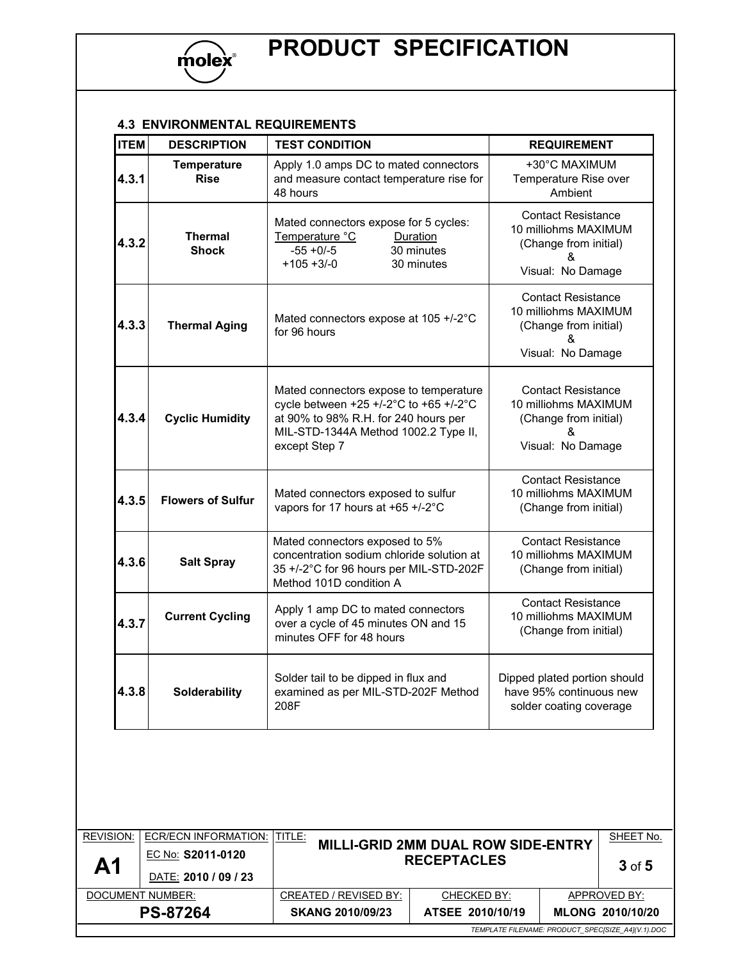

### 4.3 ENVIRONMENTAL REQUIREMENTS

| <b>ITEM</b> | <b>DESCRIPTION</b>                | <b>TEST CONDITION</b>                                                                                                                                                             | <b>REQUIREMENT</b>                                                                                   |  |
|-------------|-----------------------------------|-----------------------------------------------------------------------------------------------------------------------------------------------------------------------------------|------------------------------------------------------------------------------------------------------|--|
| 4.3.1       | <b>Temperature</b><br><b>Rise</b> | Apply 1.0 amps DC to mated connectors<br>and measure contact temperature rise for<br>48 hours                                                                                     | +30°C MAXIMUM<br>Temperature Rise over<br>Ambient                                                    |  |
| 4.3.2       | <b>Thermal</b><br><b>Shock</b>    | Mated connectors expose for 5 cycles:<br>Temperature °C<br>Duration<br>30 minutes<br>$-55 + 0/-5$<br>$+105 + 3/-0$<br>30 minutes                                                  | <b>Contact Resistance</b><br>10 milliohms MAXIMUM<br>(Change from initial)<br>&<br>Visual: No Damage |  |
| 4.3.3       | <b>Thermal Aging</b>              | Mated connectors expose at 105 +/-2°C<br>for 96 hours                                                                                                                             | <b>Contact Resistance</b><br>10 milliohms MAXIMUM<br>(Change from initial)<br>&<br>Visual: No Damage |  |
| 4.3.4       | <b>Cyclic Humidity</b>            | Mated connectors expose to temperature<br>cycle between +25 +/-2°C to +65 +/-2°C<br>at 90% to 98% R.H. for 240 hours per<br>MIL-STD-1344A Method 1002.2 Type II,<br>except Step 7 | <b>Contact Resistance</b><br>10 milliohms MAXIMUM<br>(Change from initial)<br>&<br>Visual: No Damage |  |
| 4.3.5       | <b>Flowers of Sulfur</b>          | Mated connectors exposed to sulfur<br>vapors for 17 hours at +65 +/-2°C                                                                                                           | <b>Contact Resistance</b><br>10 milliohms MAXIMUM<br>(Change from initial)                           |  |
| 4.3.6       | <b>Salt Spray</b>                 | Mated connectors exposed to 5%<br>concentration sodium chloride solution at<br>35 +/-2°C for 96 hours per MIL-STD-202F<br>Method 101D condition A                                 | <b>Contact Resistance</b><br>10 milliohms MAXIMUM<br>(Change from initial)                           |  |
| 4.3.7       | <b>Current Cycling</b>            | Apply 1 amp DC to mated connectors<br>over a cycle of 45 minutes ON and 15<br>minutes OFF for 48 hours                                                                            | <b>Contact Resistance</b><br>10 milliohms MAXIMUM<br>(Change from initial)                           |  |
| 4.3.8       | Solderability                     | Solder tail to be dipped in flux and<br>examined as per MIL-STD-202F Method<br>208F                                                                                               | Dipped plated portion should<br>have 95% continuous new<br>solder coating coverage                   |  |

| <b>REVISION:</b>                                  | <b>ECR/ECN INFORMATION:   TITLE:</b> |                                                                 |                  |            | SHEET No.        |
|---------------------------------------------------|--------------------------------------|-----------------------------------------------------------------|------------------|------------|------------------|
| A <sub>1</sub>                                    | EC No: S2011-0120                    | <b>MILLI-GRID 2MM DUAL ROW SIDE-ENTRY</b><br><b>RECEPTACLES</b> |                  | $3$ of $5$ |                  |
|                                                   | DATE: 2010 / 09 / 23                 |                                                                 |                  |            |                  |
| DOCUMENT NUMBER:                                  |                                      | CREATED / REVISED BY:                                           | CHECKED BY:      |            | APPROVED BY:     |
| <b>PS-87264</b>                                   |                                      | <b>SKANG 2010/09/23</b>                                         | ATSEE 2010/10/19 |            | MLONG 2010/10/20 |
| TEMPLATE FILENAME: PRODUCT_SPEC[SIZE_A4](V.1).DOC |                                      |                                                                 |                  |            |                  |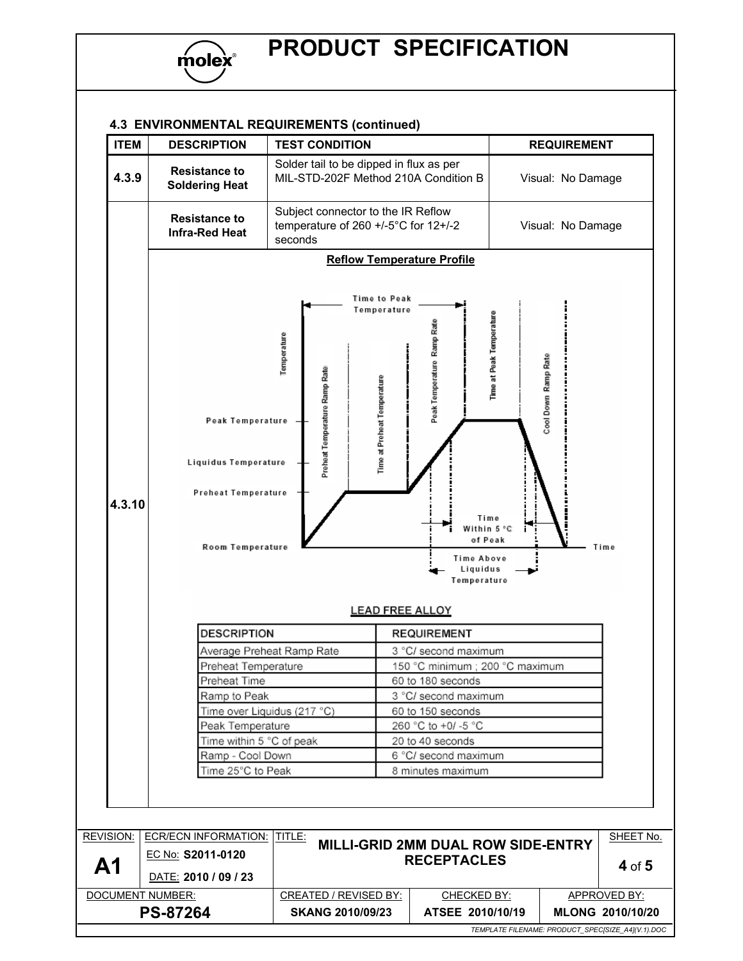

### 4.3 ENVIRONMENTAL REQUIREMENTS (continued)

| <b>ITEM</b> | <b>DESCRIPTION</b>                                                                                                                                                                     | <b>TEST CONDITION</b>                                                                                      |                                                                                                                                                                                                                                                                                                                                      | <b>REQUIREMENT</b>                                             |  |  |
|-------------|----------------------------------------------------------------------------------------------------------------------------------------------------------------------------------------|------------------------------------------------------------------------------------------------------------|--------------------------------------------------------------------------------------------------------------------------------------------------------------------------------------------------------------------------------------------------------------------------------------------------------------------------------------|----------------------------------------------------------------|--|--|
| 4.3.9       | <b>Resistance to</b><br><b>Soldering Heat</b>                                                                                                                                          | Solder tail to be dipped in flux as per<br>MIL-STD-202F Method 210A Condition B                            |                                                                                                                                                                                                                                                                                                                                      | Visual: No Damage                                              |  |  |
|             | <b>Resistance to</b><br><b>Infra-Red Heat</b>                                                                                                                                          | Subject connector to the IR Reflow<br>temperature of 260 +/-5°C for 12+/-2<br>seconds                      |                                                                                                                                                                                                                                                                                                                                      | Visual: No Damage                                              |  |  |
|             | <b>Reflow Temperature Profile</b>                                                                                                                                                      |                                                                                                            |                                                                                                                                                                                                                                                                                                                                      |                                                                |  |  |
| 4.3.10      | Peak Temperature<br>Liquidus Temperature<br>Preheat Temperature                                                                                                                        | Time to Peak<br>Temperature<br>Temperature<br>Preheat Temperature Ramp Rate<br>Time at Preheat Temperature | Time at Peak Temperature<br>Peak Temperature Ramp Rate<br>Time                                                                                                                                                                                                                                                                       | ool Down Ramp Rate                                             |  |  |
|             | Room Temperature<br><b>DESCRIPTION</b><br>Preheat Temperature<br>Preheat Time<br>Ramp to Peak<br>Peak Temperature<br>Time within 5 °C of peak<br>Ramp - Cool Down<br>Time 25°C to Peak | Average Preheat Ramp Rate<br>Time over Liquidus (217 °C)                                                   | Within 5 °C<br>of Peak<br>Time Above<br>Liquidus<br>Temperature<br><b>LEAD FREE ALLOY</b><br><b>REQUIREMENT</b><br>3 °C/ second maximum<br>150 °C minimum ; 200 °C maximum<br>60 to 180 seconds<br>3 °C/ second maximum<br>60 to 150 seconds<br>260 °C to +0/ -5 °C<br>20 to 40 seconds<br>6 °C/ second maximum<br>8 minutes maximum | Time                                                           |  |  |
| REVISION:   | <b>ECR/ECN INFORMATION: TITLE:</b>                                                                                                                                                     |                                                                                                            |                                                                                                                                                                                                                                                                                                                                      |                                                                |  |  |
| A1          | EC No: S2011-0120<br>DATE: 2010 / 09 / 23                                                                                                                                              |                                                                                                            | <b>MILLI-GRID 2MM DUAL ROW SIDE-ENTRY</b><br><b>RECEPTACLES</b>                                                                                                                                                                                                                                                                      |                                                                |  |  |
|             | DOCUMENT NUMBER:<br><b>PS-87264</b>                                                                                                                                                    | <b>CREATED / REVISED BY:</b><br><b>SKANG 2010/09/23</b>                                                    | CHECKED BY:<br>ATSEE 2010/10/19                                                                                                                                                                                                                                                                                                      | SHEET No.<br>4 of 5<br><b>APPROVED BY:</b><br>MLONG 2010/10/20 |  |  |